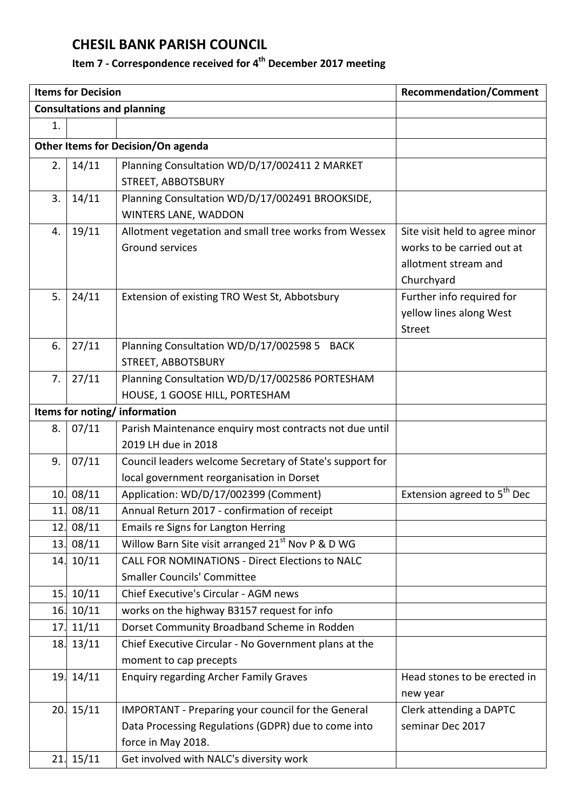## **CHESIL BANK PARISH COUNCIL**

## **Item 7 - Correspondence received for 4 th December 2017 meeting**

| <b>Items for Decision</b>          |           |                                                               | <b>Recommendation/Comment</b>           |  |
|------------------------------------|-----------|---------------------------------------------------------------|-----------------------------------------|--|
|                                    |           | <b>Consultations and planning</b>                             |                                         |  |
| 1.                                 |           |                                                               |                                         |  |
| Other Items for Decision/On agenda |           |                                                               |                                         |  |
| 2.                                 | 14/11     | Planning Consultation WD/D/17/002411 2 MARKET                 |                                         |  |
|                                    |           | STREET, ABBOTSBURY                                            |                                         |  |
| 3.                                 | 14/11     | Planning Consultation WD/D/17/002491 BROOKSIDE,               |                                         |  |
|                                    |           | WINTERS LANE, WADDON                                          |                                         |  |
| 4.                                 | 19/11     | Allotment vegetation and small tree works from Wessex         | Site visit held to agree minor          |  |
|                                    |           | Ground services                                               | works to be carried out at              |  |
|                                    |           |                                                               | allotment stream and                    |  |
|                                    |           |                                                               | Churchyard                              |  |
| 5.                                 | 24/11     | Extension of existing TRO West St, Abbotsbury                 | Further info required for               |  |
|                                    |           |                                                               | yellow lines along West                 |  |
|                                    |           |                                                               | <b>Street</b>                           |  |
| 6.                                 | 27/11     | Planning Consultation WD/D/17/002598 5 BACK                   |                                         |  |
|                                    |           | STREET, ABBOTSBURY                                            |                                         |  |
| 7.                                 | 27/11     | Planning Consultation WD/D/17/002586 PORTESHAM                |                                         |  |
|                                    |           | HOUSE, 1 GOOSE HILL, PORTESHAM                                |                                         |  |
| Items for noting/information       |           |                                                               |                                         |  |
| 8.                                 | 07/11     | Parish Maintenance enquiry most contracts not due until       |                                         |  |
|                                    |           | 2019 LH due in 2018                                           |                                         |  |
| 9.                                 | 07/11     | Council leaders welcome Secretary of State's support for      |                                         |  |
|                                    |           | local government reorganisation in Dorset                     |                                         |  |
| 10.                                | 08/11     | Application: WD/D/17/002399 (Comment)                         | Extension agreed to $5^{\text{th}}$ Dec |  |
|                                    | 11. 08/11 | Annual Return 2017 - confirmation of receipt                  |                                         |  |
| 12.                                | 08/11     | Emails re Signs for Langton Herring                           |                                         |  |
| 13.                                | 08/11     | Willow Barn Site visit arranged 21 <sup>st</sup> Nov P & D WG |                                         |  |
|                                    | 14. 10/11 | <b>CALL FOR NOMINATIONS - Direct Elections to NALC</b>        |                                         |  |
|                                    |           | <b>Smaller Councils' Committee</b>                            |                                         |  |
| 15.                                | 10/11     | Chief Executive's Circular - AGM news                         |                                         |  |
| 16.                                | 10/11     | works on the highway B3157 request for info                   |                                         |  |
| 17.                                | 11/11     | Dorset Community Broadband Scheme in Rodden                   |                                         |  |
|                                    | 18. 13/11 | Chief Executive Circular - No Government plans at the         |                                         |  |
|                                    |           | moment to cap precepts                                        |                                         |  |
| 19.                                | 14/11     | <b>Enquiry regarding Archer Family Graves</b>                 | Head stones to be erected in            |  |
|                                    |           |                                                               | new year                                |  |
| 20.                                | 15/11     | IMPORTANT - Preparing your council for the General            | Clerk attending a DAPTC                 |  |
|                                    |           | Data Processing Regulations (GDPR) due to come into           | seminar Dec 2017                        |  |
|                                    |           | force in May 2018.                                            |                                         |  |
| 21.                                | 15/11     | Get involved with NALC's diversity work                       |                                         |  |